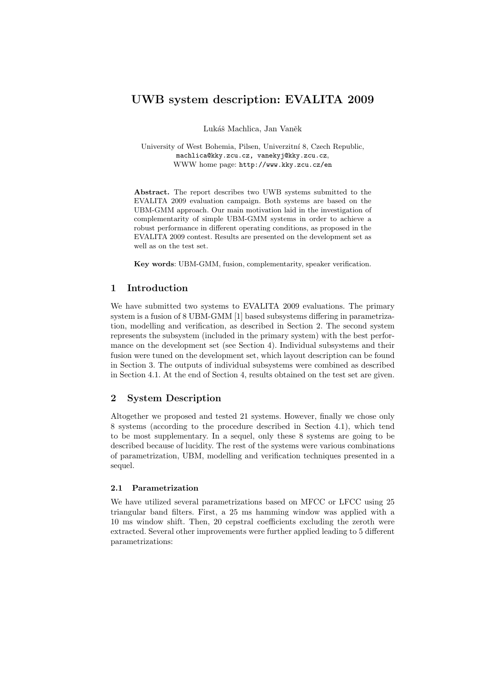# UWB system description: EVALITA 2009

Lukáš Machlica, Jan Vaněk

University of West Bohemia, Pilsen, Univerzitní 8, Czech Republic, machlica@kky.zcu.cz, vanekyj@kky.zcu.cz, WWW home page: http://www.kky.zcu.cz/en

Abstract. The report describes two UWB systems submitted to the EVALITA 2009 evaluation campaign. Both systems are based on the UBM-GMM approach. Our main motivation laid in the investigation of complementarity of simple UBM-GMM systems in order to achieve a robust performance in different operating conditions, as proposed in the EVALITA 2009 contest. Results are presented on the development set as well as on the test set.

Key words: UBM-GMM, fusion, complementarity, speaker verification.

### 1 Introduction

We have submitted two systems to EVALITA 2009 evaluations. The primary system is a fusion of 8 UBM-GMM [1] based subsystems differing in parametrization, modelling and verification, as described in Section 2. The second system represents the subsystem (included in the primary system) with the best performance on the development set (see Section 4). Individual subsystems and their fusion were tuned on the development set, which layout description can be found in Section 3. The outputs of individual subsystems were combined as described in Section 4.1. At the end of Section 4, results obtained on the test set are given.

# 2 System Description

Altogether we proposed and tested 21 systems. However, finally we chose only 8 systems (according to the procedure described in Section 4.1), which tend to be most supplementary. In a sequel, only these 8 systems are going to be described because of lucidity. The rest of the systems were various combinations of parametrization, UBM, modelling and verification techniques presented in a sequel.

### 2.1 Parametrization

We have utilized several parametrizations based on MFCC or LFCC using 25 triangular band filters. First, a 25 ms hamming window was applied with a 10 ms window shift. Then, 20 cepstral coefficients excluding the zeroth were extracted. Several other improvements were further applied leading to 5 different parametrizations: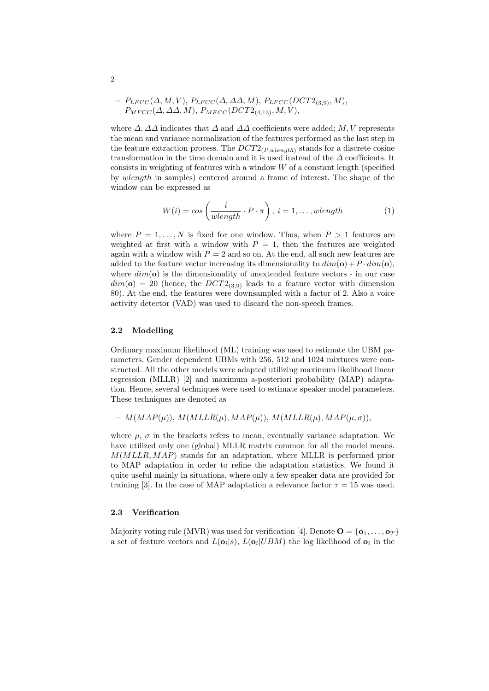$$
- P_{LFCC}(\Delta, M, V), P_{LFCC}(\Delta, \Delta\Delta, M), P_{LFCC}(DCT2_{(3,9)}, M),
$$
  

$$
P_{MFCC}(\Delta, \Delta\Delta, M), P_{MFCC}(DCT2_{(4,13)}, M, V),
$$

where  $\Delta$ ,  $\Delta\Delta$  indicates that  $\Delta$  and  $\Delta\Delta$  coefficients were added; M, V represents the mean and variance normalization of the features performed as the last step in the feature extraction process. The  $DCT2_{(P,whenath)}$  stands for a discrete cosine transformation in the time domain and it is used instead of the  $\Delta$  coefficients. It consists in weighting of features with a window  $W$  of a constant length (specified by wlength in samples) centered around a frame of interest. The shape of the window can be expressed as

$$
W(i) = \cos\left(\frac{i}{\text{wlength}} \cdot P \cdot \pi\right), \ i = 1, \dots, \text{wlength} \tag{1}
$$

where  $P = 1, \ldots, N$  is fixed for one window. Thus, when  $P > 1$  features are weighted at first with a window with  $P = 1$ , then the features are weighted again with a window with  $P = 2$  and so on. At the end, all such new features are added to the feature vector increasing its dimensionality to  $dim(\mathbf{o}) + P \cdot dim(\mathbf{o}),$ where  $dim(\mathbf{o})$  is the dimensionality of unextended feature vectors - in our case  $dim(\mathbf{o}) = 20$  (hence, the  $DCT2_{(3,9)}$  leads to a feature vector with dimension 80). At the end, the features were downsampled with a factor of 2. Also a voice activity detector (VAD) was used to discard the non-speech frames.

#### 2.2 Modelling

Ordinary maximum likelihood (ML) training was used to estimate the UBM parameters. Gender dependent UBMs with 256, 512 and 1024 mixtures were constructed. All the other models were adapted utilizing maximum likelihood linear regression (MLLR) [2] and maximum a-posteriori probability (MAP) adaptation. Hence, several techniques were used to estimate speaker model parameters. These techniques are denoted as

$$
- M(MAP(\mu)), M(MLLR(\mu), MAP(\mu)), M(MLLR(\mu), MAP(\mu, \sigma)),
$$

where  $\mu$ ,  $\sigma$  in the brackets refers to mean, eventually variance adaptation. We have utilized only one (global) MLLR matrix common for all the model means.  $M(MLLR, MAP)$  stands for an adaptation, where MLLR is performed prior to MAP adaptation in order to refine the adaptation statistics. We found it quite useful mainly in situations, where only a few speaker data are provided for training [3]. In the case of MAP adaptation a relevance factor  $\tau = 15$  was used.

#### 2.3 Verification

Majority voting rule (MVR) was used for verification [4]. Denote  $\mathbf{O} = {\mathbf{o}_1, \ldots, \mathbf{o}_T}$ a set of feature vectors and  $L(\mathbf{o}_i|s)$ ,  $L(\mathbf{o}_i|UBM)$  the log likelihood of  $\mathbf{o}_i$  in the

2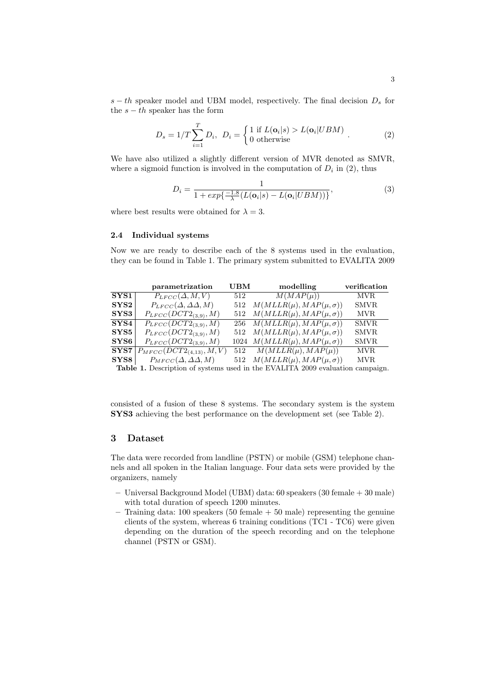s − th speaker model and UBM model, respectively. The final decision  $D_s$  for the  $s - th$  speaker has the form

$$
D_s = 1/T \sum_{i=1}^{T} D_i, \ D_i = \begin{cases} 1 \text{ if } L(\mathbf{o}_i|s) > L(\mathbf{o}_i|UBM) \\ 0 \text{ otherwise} \end{cases} . \tag{2}
$$

We have also utilized a slightly different version of MVR denoted as SMVR, where a sigmoid function is involved in the computation of  $D_i$  in (2), thus

$$
D_i = \frac{1}{1 + exp\left\{\frac{-1.8}{\lambda} (L(\mathbf{o}_i|s) - L(\mathbf{o}_i|UBM))\right\}},\tag{3}
$$

where best results were obtained for  $\lambda = 3$ .

#### 2.4 Individual systems

Now we are ready to describe each of the 8 systems used in the evaluation, they can be found in Table 1. The primary system submitted to EVALITA 2009

|              | parametrization                     | $_{\rm UBM}$ | modelling                             | verification |
|--------------|-------------------------------------|--------------|---------------------------------------|--------------|
| ${\bf SYS1}$ | $P_{LFCC}(\Delta, M, V)$            |              | $\overline{512}$ $M(MAP(\mu))$        | <b>MVR</b>   |
| SYS2         | $P_{LFCC}(\Delta, \Delta\Delta, M)$ | 512          | $M(MLLR(\mu), MAP(\mu, \sigma))$      | SMVR         |
| ${\bf SYS3}$ | $P_{LFCC}(DCT2_{(3,9)}, M)$         |              | 512 $M(MLLR(\mu), MAP(\mu, \sigma))$  | <b>MVR</b>   |
| ${\bf SYS4}$ | $P_{LFCC}(DCT2_{(3.9)}, M)$         |              | 256 $M(MLLR(\mu), MAP(\mu, \sigma))$  | <b>SMVR</b>  |
| SYS5         | $P_{LFCC}(DCT2_{(3,9)}, M)$         |              | 512 $M(MLLR(\mu), MAP(\mu, \sigma))$  | <b>SMVR</b>  |
| ${\bf SYS6}$ | $P_{LFCC}(DCT2_{(3,9)}, M)$         |              | 1024 $M(MLLR(\mu), MAP(\mu, \sigma))$ | <b>SMVR</b>  |
| ${\bf SYS7}$ | $P_{MFCC}(DCT2_{(4,13)}, M, V)$     |              | 512 $M(MLLR(\mu), MAP(\mu))$          | <b>MVR</b>   |
| SYS8         | $P_{MFCC}(\Delta, \Delta\Delta, M)$ |              | 512 $M(MLLR(\mu), MAP(\mu, \sigma))$  | <b>MVR</b>   |

Table 1. Description of systems used in the EVALITA 2009 evaluation campaign.

consisted of a fusion of these 8 systems. The secondary system is the system SYS3 achieving the best performance on the development set (see Table 2).

### 3 Dataset

The data were recorded from landline (PSTN) or mobile (GSM) telephone channels and all spoken in the Italian language. Four data sets were provided by the organizers, namely

- Universal Background Model (UBM) data: 60 speakers (30 female + 30 male) with total duration of speech 1200 minutes.
- $-$  Training data: 100 speakers (50 female  $+$  50 male) representing the genuine clients of the system, whereas 6 training conditions (TC1 - TC6) were given depending on the duration of the speech recording and on the telephone channel (PSTN or GSM).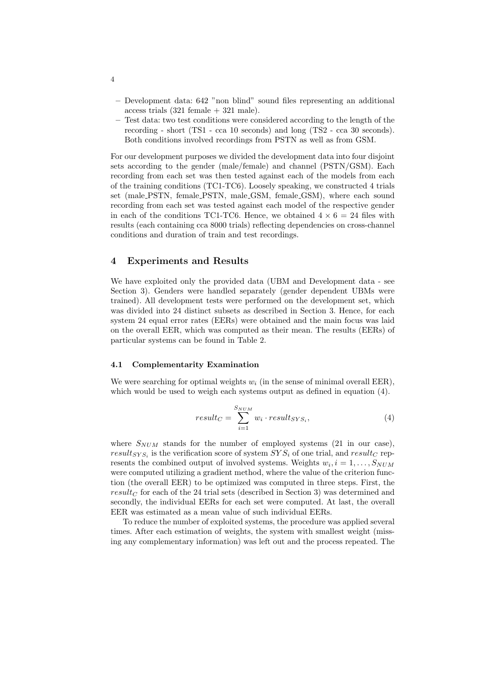- Development data: 642 "non blind" sound files representing an additional access trials  $(321 \text{ female} + 321 \text{ male}).$
- Test data: two test conditions were considered according to the length of the recording - short (TS1 - cca 10 seconds) and long (TS2 - cca 30 seconds). Both conditions involved recordings from PSTN as well as from GSM.

For our development purposes we divided the development data into four disjoint sets according to the gender (male/female) and channel (PSTN/GSM). Each recording from each set was then tested against each of the models from each of the training conditions (TC1-TC6). Loosely speaking, we constructed 4 trials set (male PSTN, female PSTN, male GSM, female GSM), where each sound recording from each set was tested against each model of the respective gender in each of the conditions TC1-TC6. Hence, we obtained  $4 \times 6 = 24$  files with results (each containing cca 8000 trials) reflecting dependencies on cross-channel conditions and duration of train and test recordings.

### 4 Experiments and Results

We have exploited only the provided data (UBM and Development data - see Section 3). Genders were handled separately (gender dependent UBMs were trained). All development tests were performed on the development set, which was divided into 24 distinct subsets as described in Section 3. Hence, for each system 24 equal error rates (EERs) were obtained and the main focus was laid on the overall EER, which was computed as their mean. The results (EERs) of particular systems can be found in Table 2.

#### 4.1 Complementarity Examination

We were searching for optimal weights  $w_i$  (in the sense of minimal overall EER), which would be used to weigh each systems output as defined in equation  $(4)$ .

$$
result_C = \sum_{i=1}^{S_{NUM}} w_i \cdot result_{SYS_i},\tag{4}
$$

where  $S_{NUM}$  stands for the number of employed systems (21 in our case),  $result_{SYS_i}$  is the verification score of system  $SYS_i$  of one trial, and  $result_C$  represents the combined output of involved systems. Weights  $w_i$ ,  $i = 1, ..., S_{NUM}$ were computed utilizing a gradient method, where the value of the criterion function (the overall EER) to be optimized was computed in three steps. First, the result<sub>C</sub> for each of the 24 trial sets (described in Section 3) was determined and secondly, the individual EERs for each set were computed. At last, the overall EER was estimated as a mean value of such individual EERs.

To reduce the number of exploited systems, the procedure was applied several times. After each estimation of weights, the system with smallest weight (missing any complementary information) was left out and the process repeated. The

4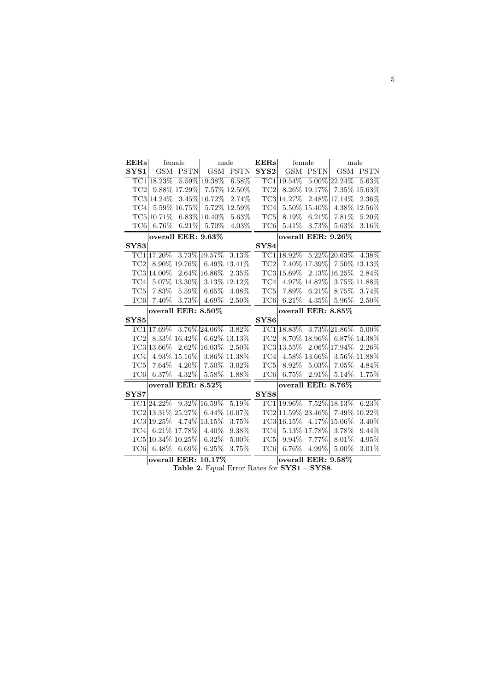| EERs             |             | female                       |                     | male            | EERs             | female             |                       | male            |              |  |  |  |
|------------------|-------------|------------------------------|---------------------|-----------------|------------------|--------------------|-----------------------|-----------------|--------------|--|--|--|
| SYS1             | <b>GSM</b>  | <b>PSTN</b>                  | <b>GSM</b>          | <b>PSTN</b>     | SYS2             | GSM                | <b>PSTN</b>           | <b>GSM</b>      | PSTN         |  |  |  |
|                  | TC1 18.23\% |                              | 5.59% 19.38%        | $6.58\%$        |                  | TC1 19.54\%        |                       | $5.00\%$ 22.24% | 5.63%        |  |  |  |
| TC2              |             | 9.88% 17.29%                 |                     | 7.57% 12.50%    | $\rm TC2$        |                    | 8.26\% 19.17\%        |                 | 7.35% 15.63% |  |  |  |
|                  | TC3 14.24\% |                              | 3.45% 16.72%        | 2.74%           |                  | TC3 14.27\%        |                       | 2.48% 17.14%    | 2.36\%       |  |  |  |
| TC4              |             | 5.59% 16.75%                 |                     | 5.72% 12.59%    | TC4              |                    | 5.50% 15.40%          |                 | 4.38% 12.56% |  |  |  |
|                  | TC5 10.71\% |                              | 6.83% 10.40%        | 5.63%           | TC5              | 8.19%              | $6.21\%$              | $7.81\%$        | 5.20%        |  |  |  |
| TC <sub>6</sub>  | $6.76\%$    | 6.21%                        | 5.70%               | $4.03\%$        | TC <sub>6</sub>  | 5.41%              | $3.73\%$              | $5.63\%$        | $3.16\%$     |  |  |  |
|                  |             | overall EER: 9.63%           |                     |                 |                  | overall EER: 9.26% |                       |                 |              |  |  |  |
| SYS3             |             |                              |                     |                 | SYS4             |                    |                       |                 |              |  |  |  |
|                  |             | TC1 17.20\% 3.73\% 19.57\%   |                     | 3.13%           |                  | TC1 18.92%         |                       | $5.22\%$ 20.63% | 4.38%        |  |  |  |
| TC <sub>2</sub>  |             | 8.90% 19.76%                 | $6.49\%$ 13.41\%    |                 | TC <sub>2</sub>  |                    | 7.40% 17.39%          |                 | 7.50% 13.13% |  |  |  |
|                  | TC3 14.00%  | $2.64\%$ 16.86%              |                     | 2.35%           |                  | TC3 15.69%         |                       | $2.13\%$ 16.25% | 2.84\%       |  |  |  |
| TC4              |             | 5.07% 13.30%                 |                     | 3.13% 12.12%    | TC4              |                    | 4.97% 14.82%          |                 | 3.75% 11.88% |  |  |  |
| TC <sub>5</sub>  | 7.83%       | $5.59\%$                     | 6.65%               | 4.08%           | TC5              | 7.89%              | $6.21\%$              | 8.75%           | 3.74\%       |  |  |  |
| TC6              | 7.40\%      | 3.73%                        | 4.69%               | 2.50%           | TC <sub>6</sub>  | $6.21\%$           | $4.35\%$              | 5.96%           | 2.50%        |  |  |  |
|                  |             | overall EER: 8.50%           |                     |                 |                  |                    | overall EER: $8.85\%$ |                 |              |  |  |  |
| SYS <sub>5</sub> |             |                              |                     |                 | SYS <sub>6</sub> |                    |                       |                 |              |  |  |  |
|                  | TC1 17.69%  |                              | 3.76% 24.06%        | 3.82%           |                  | TC1 18.83%         |                       | 3.73% 21.86%    | 5.00%        |  |  |  |
| TC <sub>2</sub>  |             | 8.33% 16.42%                 |                     | $6.62\%$ 13.13% | TC <sub>2</sub>  |                    | 8.70% 18.96%          |                 | 6.87% 14.38% |  |  |  |
|                  | TC3 13.66\% |                              | 2.62% 16.03%        | 2.50%           |                  | TC3 13.55%         |                       | 2.06% 17.94%    | 2.26\%       |  |  |  |
| TC4              |             | 4.93% 15.16%                 |                     | 3.86% 11.38%    | TC4              |                    | 4.58% 13.66%          |                 | 3.56% 11.88% |  |  |  |
| TC5              | 7.64%       | $4.20\%$                     | 7.50%               | $3.02\%$        | TC <sub>5</sub>  | 8.92%              | $5.03\%$              | 7.05%           | 4.84\%       |  |  |  |
| TC <sub>6</sub>  | $6.37\%$    | 4.32\%                       | 5.58%               | 1.88%           | TC <sub>6</sub>  | 6.75%              | $2.91\%$              | 5.14\%          | 1.75%        |  |  |  |
|                  |             | overall EER: 8.52%           |                     |                 |                  |                    | overall EER: 8.76%    |                 |              |  |  |  |
| SYS7             |             |                              |                     |                 | SYS8             |                    |                       |                 |              |  |  |  |
|                  |             | $TC1 24.22\%$ 9.32\% 16.59\% |                     | 5.19%           |                  | TC1 19.96\%        |                       | $7.52\%$ 18.13% | $6.23\%$     |  |  |  |
|                  |             | TC2 13.31\% 25.27\%          |                     | $6.44\%$ 10.07% |                  | TC2 11.59% 23.46%  |                       |                 | 7.49% 10.22% |  |  |  |
|                  | TC3 19.25\% |                              | 4.74% 13.15%        | 3.75%           |                  | TC3 16.15%         |                       | 4.17% 15.06%    | 3.40%        |  |  |  |
| TC4              |             | 6.21\% 17.78\%               | 4.40\%              | $9.38\%$        | TC4              |                    | 5.13% 17.78%          | 3.78%           | 9.44\%       |  |  |  |
|                  |             | TC5 10.34\% 10.25\%          | $6.32\%$            | 5.00%           | TC <sub>5</sub>  | 9.94%              | $7.77\%$              | 8.01\%          | 4.95%        |  |  |  |
| TC6              | $6.48\%$    | $6.69\%$                     | 6.25%               | 3.75%           | TC6              | 6.76%              | $4.99\%$              | 5.00%           | $3.01\%$     |  |  |  |
|                  |             |                              | overall EER: 10.17% |                 |                  |                    | overall EER: 9.58%    |                 |              |  |  |  |

Table 2. Equal Error Rates for SYS1 – SYS8.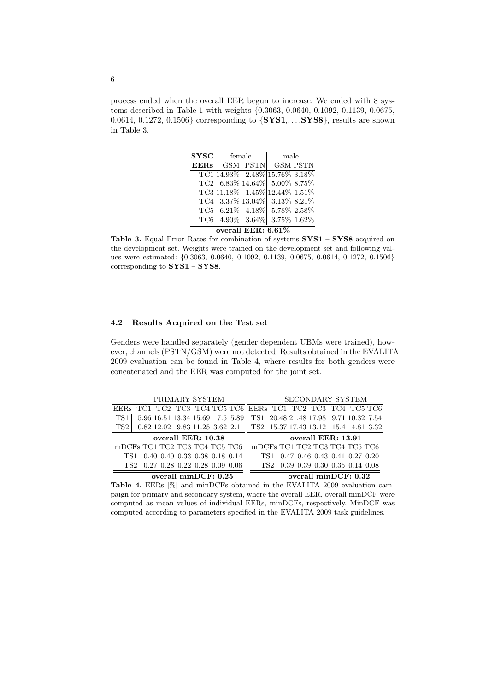process ended when the overall EER begun to increase. We ended with 8 systems described in Table 1 with weights {0.3063, 0.0640, 0.1092, 0.1139, 0.0675, 0.0614, 0.1272, 0.1506} corresponding to {SYS1,. . . ,SYS8}, results are shown in Table 3.

| $_{\mathrm{SYSC}}$ | female             |                 | male                                |  |  |  |  |
|--------------------|--------------------|-----------------|-------------------------------------|--|--|--|--|
| <b>EERs</b>        |                    | GSM PSTN        | GSM PSTN                            |  |  |  |  |
|                    |                    |                 | $TC1 14.93\%$ 2.48% 15.76% 3.18%    |  |  |  |  |
|                    |                    |                 | $TC2$ 6.83\% 14.64\% 5.00\% 8.75\%  |  |  |  |  |
|                    |                    |                 | $TC3 11.18\%$ 1.45\% 12.44\% 1.51\% |  |  |  |  |
|                    |                    |                 | TC4 3.37% 13.04% 3.13% 8.21%        |  |  |  |  |
|                    |                    |                 | $TC5$ 6.21\% 4.18\% 5.78\% 2.58\%   |  |  |  |  |
| TC6                |                    | $4.90\%$ 3.64\% | $3.75\%$ 1.62\%                     |  |  |  |  |
|                    | overall EER: 6.61% |                 |                                     |  |  |  |  |

Table 3. Equal Error Rates for combination of systems SYS1 – SYS8 acquired on the development set. Weights were trained on the development set and following values were estimated: {0.3063, 0.0640, 0.1092, 0.1139, 0.0675, 0.0614, 0.1272, 0.1506} corresponding to SYS1 – SYS8.

### 4.2 Results Acquired on the Test set

Genders were handled separately (gender dependent UBMs were trained), however, channels (PSTN/GSM) were not detected. Results obtained in the EVALITA 2009 evaluation can be found in Table 4, where results for both genders were concatenated and the EER was computed for the joint set.

| PRIMARY SYSTEM                                            |                                                                         |  |  | <b>SECONDARY SYSTEM</b>       |  |                                        |  |  |                                       |  |  |
|-----------------------------------------------------------|-------------------------------------------------------------------------|--|--|-------------------------------|--|----------------------------------------|--|--|---------------------------------------|--|--|
| EERS TC1 TC2 TC3 TC4 TC5 TC6 EERS TC1 TC2 TC3 TC4 TC5 TC6 |                                                                         |  |  |                               |  |                                        |  |  |                                       |  |  |
| TS1                                                       | 15.96 16.51 13.34 15.69 7.5 5.89                                        |  |  |                               |  | TS1 20.48 21.48 17.98 19.71 10.32 7.54 |  |  |                                       |  |  |
| TS2                                                       | 10.82 12.02 9.83 11.25 3.62 2.11 TS2   15.37 17.43 13.12 15.4 4.81 3.32 |  |  |                               |  |                                        |  |  |                                       |  |  |
| overall EER: 10.38                                        |                                                                         |  |  | overall EER: 13.91            |  |                                        |  |  |                                       |  |  |
| mDCFs TC1 TC2 TC3 TC4 TC5 TC6                             |                                                                         |  |  | mDCFs TC1 TC2 TC3 TC4 TC5 TC6 |  |                                        |  |  |                                       |  |  |
| TS1                                                       | $\vert$ 0.40 0.40 0.33 0.38 0.18 0.14                                   |  |  |                               |  | TS1 0.47 0.46 0.43 0.41 0.27 0.20      |  |  |                                       |  |  |
| TS <sub>2</sub>                                           | $0.27$ 0.28 0.22 0.28 0.09 0.06                                         |  |  |                               |  | TS2                                    |  |  | $\vert$ 0.39 0.39 0.30 0.35 0.14 0.08 |  |  |
| overall minDCF: 0.25                                      |                                                                         |  |  | overall $minDCF: 0.32$        |  |                                        |  |  |                                       |  |  |

Table 4. EERs [%] and minDCFs obtained in the EVALITA 2009 evaluation campaign for primary and secondary system, where the overall EER, overall minDCF were computed as mean values of individual EERs, minDCFs, respectively. MinDCF was computed according to parameters specified in the EVALITA 2009 task guidelines.